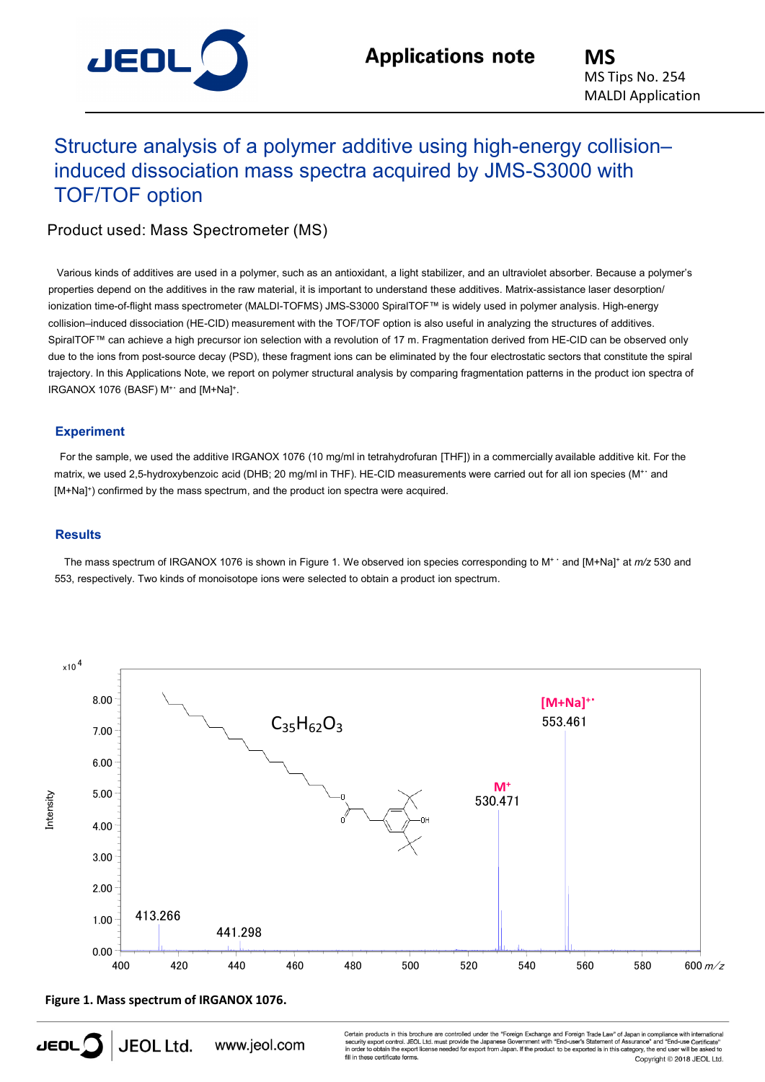

## Structure analysis of a polymer additive using high-energy collision– induced dissociation mass spectra acquired by JMS-S3000 with TOF/TOF option

Product used: Mass Spectrometer (MS)

Various kinds of additives are used in a polymer, such as an antioxidant, a light stabilizer, and an ultraviolet absorber. Because a polymer's properties depend on the additives in the raw material, it is important to understand these additives. Matrix-assistance laser desorption/ ionization time-of-flight mass spectrometer (MALDI-TOFMS) JMS-S3000 SpiralTOF™ is widely used in polymer analysis. High-energy collision–induced dissociation (HE-CID) measurement with the TOF/TOF option is also useful in analyzing the structures of additives. SpiralTOF™ can achieve a high precursor ion selection with a revolution of 17 m. Fragmentation derived from HE-CID can be observed only due to the ions from post-source decay (PSD), these fragment ions can be eliminated by the four electrostatic sectors that constitute the spiral trajectory. In this Applications Note, we report on polymer structural analysis by comparing fragmentation patterns in the product ion spectra of IRGANOX 1076 (BASF) M+ and [M+Na]+.

## **Experiment**

For the sample, we used the additive IRGANOX 1076 (10 mg/ml in tetrahydrofuran [THF]) in a commercially available additive kit. For the matrix, we used 2,5-hydroxybenzoic acid (DHB; 20 mg/ml in THF). HE-CID measurements were carried out for all ion species (M<sup>++</sup> and [M+Na] +) confirmed by the mass spectrum, and the product ion spectra were acquired.

## **Results**

The mass spectrum of IRGANOX 1076 is shown in Figure 1. We observed ion species corresponding to M+ ・ and [M+Na] <sup>+</sup> at *m/z* 530 and 553, respectively. Two kinds of monoisotope ions were selected to obtain a product ion spectrum.



**Figure 1. Mass spectrum of IRGANOX 1076.**

Certain products in this brochure are controlled under the "Foreign Exchange and Foreign Trade Law" of Japan in compliance with internative<br>security export control. JEOL Ltd. must provide the Japanese Government with "Endese certificate forms. Copyright © 2018 JEOL Ltd